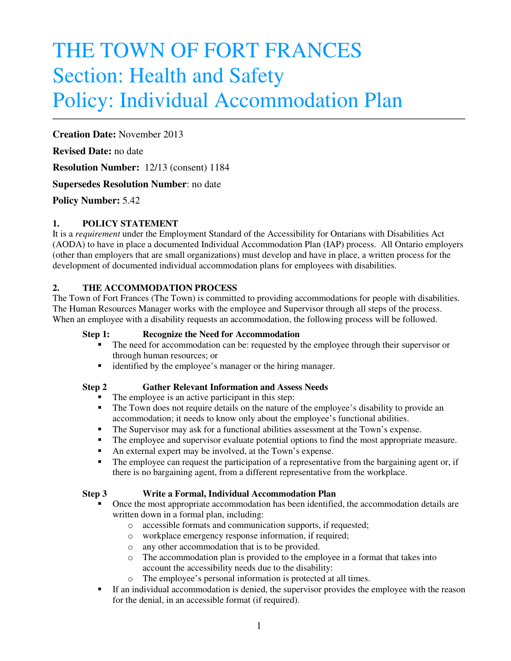# THE TOWN OF FORT FRANCES Section: Health and Safety Policy: Individual Accommodation Plan

## **Creation Date:** November 2013

**Revised Date:** no date

**Resolution Number:** 12/13 (consent) 1184

## **Supersedes Resolution Number**: no date

## **Policy Number:** 5.42

## **1. POLICY STATEMENT**

It is a *requirement* under the Employment Standard of the Accessibility for Ontarians with Disabilities Act (AODA) to have in place a documented Individual Accommodation Plan (IAP) process. All Ontario employers (other than employers that are small organizations) must develop and have in place, a written process for the development of documented individual accommodation plans for employees with disabilities.

## **2. THE ACCOMMODATION PROCESS**

The Town of Fort Frances (The Town) is committed to providing accommodations for people with disabilities. The Human Resources Manager works with the employee and Supervisor through all steps of the process. When an employee with a disability requests an accommodation, the following process will be followed.

### **Step 1: Recognize the Need for Accommodation**

- The need for accommodation can be: requested by the employee through their supervisor or through human resources; or
- identified by the employee's manager or the hiring manager.

#### **Step 2 Gather Relevant Information and Assess Needs**

- The employee is an active participant in this step:
- The Town does not require details on the nature of the employee's disability to provide an accommodation; it needs to know only about the employee's functional abilities.
- The Supervisor may ask for a functional abilities assessment at the Town's expense.
- The employee and supervisor evaluate potential options to find the most appropriate measure.
- An external expert may be involved, at the Town's expense.
- The employee can request the participation of a representative from the bargaining agent or, if there is no bargaining agent, from a different representative from the workplace.

## **Step 3 Write a Formal, Individual Accommodation Plan**

- Once the most appropriate accommodation has been identified, the accommodation details are written down in a formal plan, including:
	- o accessible formats and communication supports, if requested;
	- o workplace emergency response information, if required;
	- o any other accommodation that is to be provided.
	- $\circ$  The accommodation plan is provided to the employee in a format that takes into account the accessibility needs due to the disability:
	- o The employee's personal information is protected at all times.
- If an individual accommodation is denied, the supervisor provides the employee with the reason for the denial, in an accessible format (if required).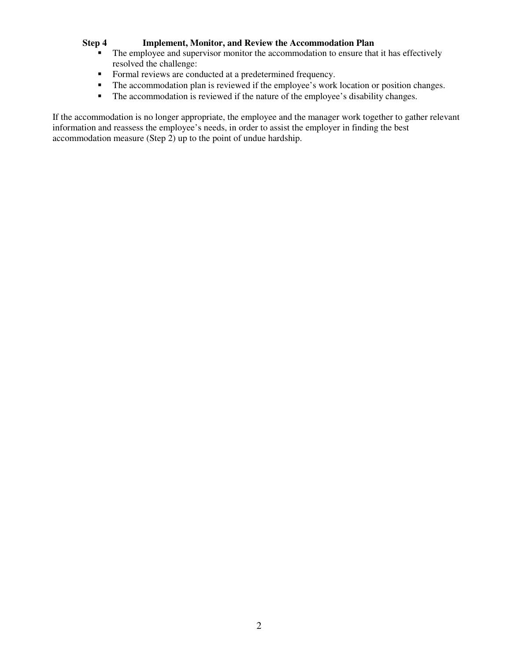## **Step 4 Implement, Monitor, and Review the Accommodation Plan**

- The employee and supervisor monitor the accommodation to ensure that it has effectively resolved the challenge:
- Formal reviews are conducted at a predetermined frequency.
- The accommodation plan is reviewed if the employee's work location or position changes.
- The accommodation is reviewed if the nature of the employee's disability changes.

If the accommodation is no longer appropriate, the employee and the manager work together to gather relevant information and reassess the employee's needs, in order to assist the employer in finding the best accommodation measure (Step 2) up to the point of undue hardship.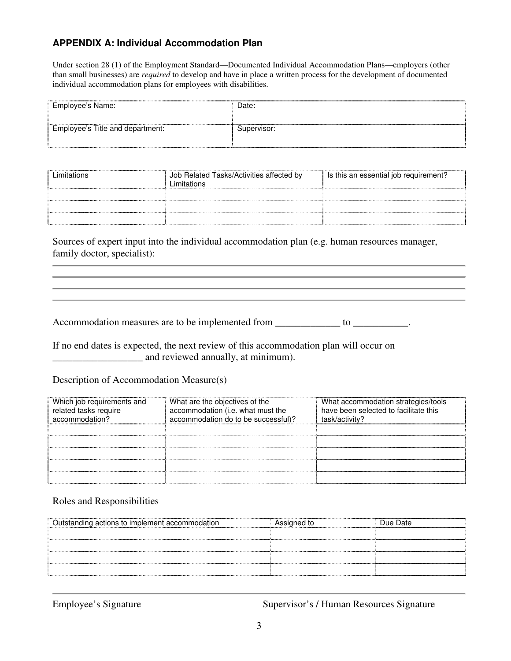## **APPENDIX A: Individual Accommodation Plan**

Under section 28 (1) of the Employment Standard—Documented Individual Accommodation Plans—employers (other than small businesses) are *required* to develop and have in place a written process for the development of documented individual accommodation plans for employees with disabilities.

| Employee's Name:                 | Date:       |
|----------------------------------|-------------|
| Employee's Title and department: | Supervisor: |

| Limitations | Job Related Tasks/Activities affected by<br>Limitations | Is this an essential job requirement? |
|-------------|---------------------------------------------------------|---------------------------------------|
|             |                                                         |                                       |
|             |                                                         |                                       |
|             |                                                         |                                       |

Sources of expert input into the individual accommodation plan (e.g. human resources manager, family doctor, specialist):

Accommodation measures are to be implemented from \_\_\_\_\_\_\_\_\_\_\_\_\_\_ to \_\_\_\_\_\_\_\_\_\_\_.

If no end dates is expected, the next review of this accommodation plan will occur on \_\_\_\_\_\_\_\_\_\_\_\_\_\_\_\_\_\_ and reviewed annually, at minimum).

Description of Accommodation Measure(s)

| Which job requirements and<br>related tasks require<br>accommodation? | What are the objectives of the<br>accommodation (i.e. what must the<br>accommodation do to be successful)? | What accommodation strategies/tools<br>have been selected to facilitate this<br>task/activity? |
|-----------------------------------------------------------------------|------------------------------------------------------------------------------------------------------------|------------------------------------------------------------------------------------------------|
|                                                                       |                                                                                                            |                                                                                                |
|                                                                       |                                                                                                            |                                                                                                |
|                                                                       |                                                                                                            |                                                                                                |
|                                                                       |                                                                                                            |                                                                                                |
|                                                                       |                                                                                                            |                                                                                                |

Roles and Responsibilities

| Assigned to | Due Date |
|-------------|----------|
|             |          |
|             |          |
|             |          |
|             |          |
|             |          |

Employee's Signature Supervisor's / Human Resources Signature